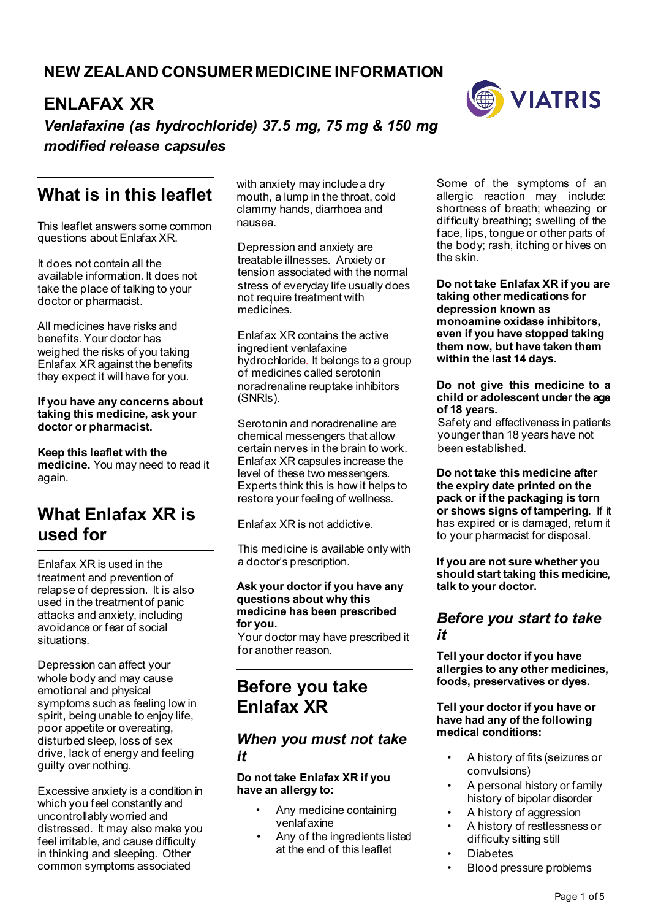## **NEW ZEALAND CONSUMER MEDICINE INFORMATION**





## **ENLAFAX XR** *Venlafaxine (as hydrochloride) 37.5 mg, 75 mg & 150 mg modified release capsules*

# **What is in this leaflet**

This leaflet answers some common questions about Enlafax XR.

It does not contain all the available information. It does not take the place of talking to your doctor or pharmacist.

All medicines have risks and benefits. Your doctor has weighed the risks of you taking Enlafax XR against the benefits they expect it will have for you.

#### **If you have any concerns about taking this medicine, ask your doctor or pharmacist.**

**Keep this leaflet with the medicine.** You may need to read it again.

# **What Enlafax XR is used for**

Enlafax XR is used in the treatment and prevention of relapse of depression. It is also used in the treatment of panic attacks and anxiety, including avoidance or fear of social situations.

Depression can affect your whole body and may cause emotional and physical symptoms such as feeling low in spirit, being unable to enjoy life, poor appetite or overeating, disturbed sleep, loss of sex drive, lack of energy and feeling guilty over nothing.

Excessive anxiety is a condition in which you feel constantly and uncontrollably worried and distressed. It may also make you feel irritable, and cause difficulty in thinking and sleeping. Other common symptoms associated

with anxiety may include a dry mouth, a lump in the throat, cold clammy hands, diarrhoea and nausea.

Depression and anxiety are treatable illnesses. Anxiety or tension associated with the normal stress of everyday life usually does not require treatment with medicines.

Enlafax XR contains the active ingredient venlafaxine hydrochloride*.* It belongs to a group of medicines called serotonin noradrenaline reuptake inhibitors (SNRIs).

Serotonin and noradrenaline are chemical messengers that allow certain nerves in the brain to work. Enlafax XR capsules increase the level of these two messengers. Experts think this is how it helps to restore your feeling of wellness.

Enlafax XR is not addictive.

This medicine is available only with a doctor's prescription.

#### **Ask your doctor if you have any questions about why this medicine has been prescribed for you.**

Your doctor may have prescribed it for another reason.

# **Before you take Enlafax XR**

### *When you must not take it*

**Do not take Enlafax XR if you have an allergy to:** 

- Any medicine containing venlafaxine
- Any of the ingredients listed at the end of this leaflet

Some of the symptoms of an allergic reaction may include: shortness of breath; wheezing or difficulty breathing; swelling of the face, lips, tongue or other parts of the body; rash, itching or hives on the skin.

**Do not take Enlafax XR if you are taking other medications for depression known as monoamine oxidase inhibitors, even if you have stopped taking them now, but have taken them within the last 14 days.** 

#### **Do not give this medicine to a child or adolescent under the age of 18 years.**

Safety and effectiveness in patients younger than 18 years have not been established.

**Do not take this medicine after the expiry date printed on the pack or if the packaging is torn or shows signs of tampering.** If it has expired or is damaged, return it to your pharmacist for disposal.

**If you are not sure whether you should start taking this medicine, talk to your doctor.** 

### *Before you start to take it*

**Tell your doctor if you have allergies to any other medicines, foods, preservatives or dyes.**

#### **Tell your doctor if you have or have had any of the following medical conditions:**

- A history of fits (seizures or convulsions)
- A personal history or family history of bipolar disorder
- A history of aggression
- A history of restlessness or difficulty sitting still
- **Diabetes**
- Blood pressure problems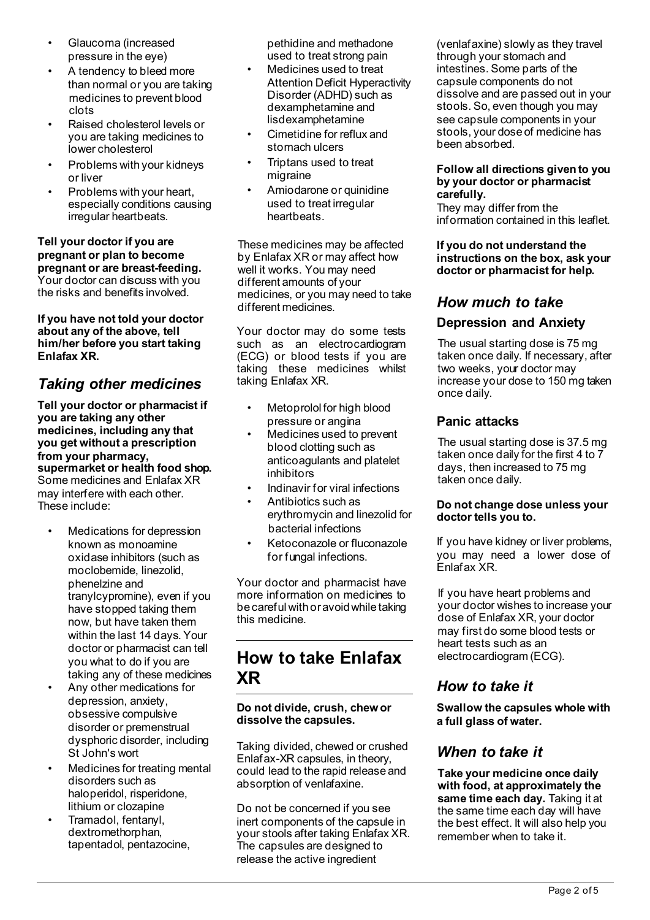- Glaucoma (increased pressure in the eye)
- A tendency to bleed more than normal or you are taking medicines to prevent blood clots
- Raised cholesterol levels or you are taking medicines to lower cholesterol
- Problems with your kidneys or liver
- Problems with your heart, especially conditions causing irregular heartbeats.

**Tell your doctor if you are pregnant or plan to become pregnant or are breast-feeding.** Your doctor can discuss with you the risks and benefits involved.

**If you have not told your doctor about any of the above, tell him/her before you start taking Enlafax XR.**

### *Taking other medicines*

**Tell your doctor or pharmacist if you are taking any other medicines, including any that you get without a prescription from your pharmacy, supermarket or health food shop.** Some medicines and Enlafax XR may interfere with each other. These include:

- Medications for depression known as monoamine oxidase inhibitors (such as moclobemide, linezolid, phenelzine and tranylcypromine), even if you have stopped taking them now, but have taken them within the last 14 days. Your doctor or pharmacist can tell you what to do if you are taking any of these medicines
- Any other medications for depression, anxiety, obsessive compulsive disorder or premenstrual dysphoric disorder, including St John's wort
- Medicines for treating mental disorders such as haloperidol, risperidone, lithium or clozapine
- Tramadol, fentanyl, dextromethorphan, tapentadol, pentazocine,

pethidine and methadone used to treat strong pain

- Medicines used to treat Attention Deficit Hyperactivity Disorder (ADHD) such as dexamphetamine and lisdexamphetamine
- Cimetidine for reflux and stomach ulcers
- Triptans used to treat migraine
- Amiodarone or quinidine used to treat irregular heartbeats.

These medicines may be affected by Enlafax XR or may affect how well it works. You may need different amounts of your medicines, or you may need to take different medicines.

Your doctor may do some tests such as an electrocardiogram (ECG) or blood tests if you are taking these medicines whilst taking Enlafax XR.

- Metoprolol for high blood pressure or angina
- Medicines used to prevent blood clotting such as anticoagulants and platelet inhibitors
- Indinavir for viral infections
- Antibiotics such as erythromycin and linezolid for bacterial infections
- Ketoconazole or fluconazole for fungal infections.

Your doctor and pharmacist have more information on medicines to be careful with or avoid while taking this medicine.

## **How to take Enlafax XR**

#### **Do not divide, crush, chew or dissolve the capsules.**

Taking divided, chewed or crushed Enlafax-XR capsules, in theory, could lead to the rapid release and absorption of venlafaxine.

Do not be concerned if you see inert components of the capsule in your stools after taking Enlafax XR. The capsules are designed to release the active ingredient

(venlafaxine) slowly as they travel through your stomach and intestines. Some parts of the capsule components do not dissolve and are passed out in your stools. So, even though you may see capsule components in your stools, your dose of medicine has been absorbed.

#### **Follow all directions given to you by your doctor or pharmacist carefully.**

They may differ from the information contained in this leaflet.

**If you do not understand the instructions on the box, ask your doctor or pharmacist for help.** 

## *How much to take*

### **Depression and Anxiety**

The usual starting dose is 75 mg taken once daily. If necessary, after two weeks, your doctor may increase your dose to 150 mg taken once daily.

### **Panic attacks**

The usual starting dose is 37.5 mg taken once daily for the first 4 to 7 days, then increased to 75 mg taken once daily.

#### **Do not change dose unless your doctor tells you to.**

If you have kidney or liver problems, you may need a lower dose of Enlafax XR.

If you have heart problems and your doctor wishes to increase your dose of Enlafax XR, your doctor may first do some blood tests or heart tests such as an electrocardiogram (ECG).

## *How to take it*

**Swallow the capsules whole with a full glass of water.** 

### *When to take it*

**Take your medicine once daily with food, at approximately the same time each day.** Taking it at the same time each day will have the best effect. It will also help you remember when to take it.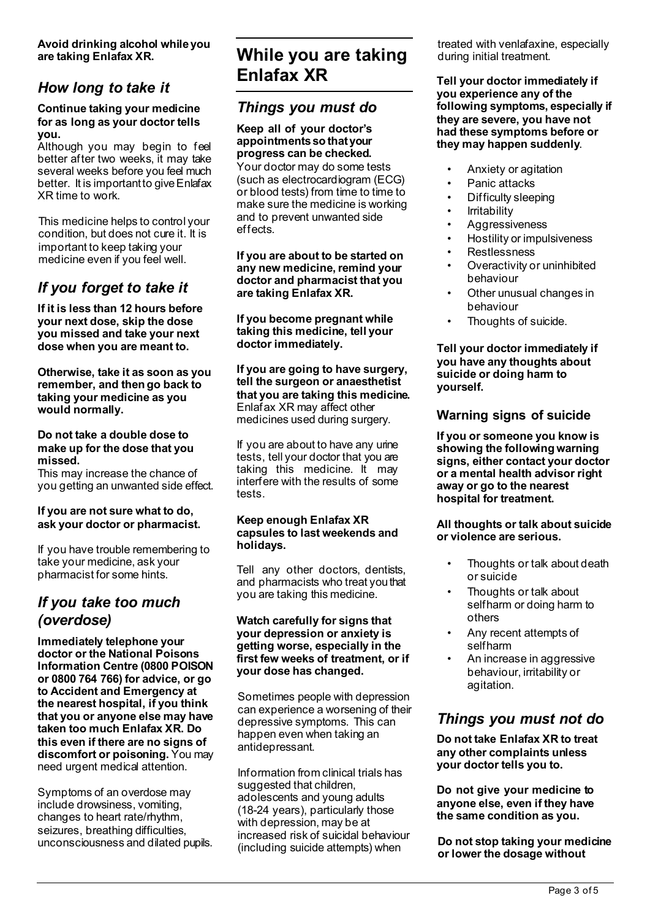**Avoid drinking alcohol while you are taking Enlafax XR.**

### *How long to take it*

#### **Continue taking your medicine for as long as your doctor tells you.**

Although you may begin to feel better after two weeks, it may take several weeks before you feel much better. It is important to give Enlafax XR time to work.

This medicine helps to control your condition, but does not cure it. It is important to keep taking your medicine even if you feel well.

## *If you forget to take it*

**If it is less than 12 hours before your next dose, skip the dose you missed and take your next dose when you are meant to.**

**Otherwise, take it as soon as you remember, and then go back to taking your medicine as you would normally.**

#### **Do not take a double dose to make up for the dose that you missed.**

This may increase the chance of you getting an unwanted side effect.

#### **If you are not sure what to do, ask your doctor or pharmacist.**

If you have trouble remembering to take your medicine, ask your pharmacist for some hints.

### *If you take too much (overdose)*

**Immediately telephone your doctor or the National Poisons Information Centre (0800 POISON or 0800 764 766) for advice, or go to Accident and Emergency at the nearest hospital, if you think that you or anyone else may have taken too much Enlafax XR. Do this even if there are no signs of discomfort or poisoning.** You may need urgent medical attention.

Symptoms of an overdose may include drowsiness, vomiting, changes to heart rate/rhythm, seizures, breathing difficulties, unconsciousness and dilated pupils.

## **While you are taking Enlafax XR**

### *Things you must do*

**Keep all of your doctor's appointments so that your progress can be checked.**  Your doctor may do some tests (such as electrocardiogram (ECG) or blood tests) from time to time to make sure the medicine is working and to prevent unwanted side effects.

**If you are about to be started on any new medicine, remind your doctor and pharmacist that you are taking Enlafax XR.** 

**If you become pregnant while taking this medicine, tell your doctor immediately.** 

**If you are going to have surgery, tell the surgeon or anaesthetist that you are taking this medicine.** Enlafax XR may affect other medicines used during surgery.

If you are about to have any urine tests, tell your doctor that you are taking this medicine. It may interfere with the results of some tests.

#### **Keep enough Enlafax XR capsules to last weekends and holidays.**

Tell any other doctors, dentists, and pharmacists who treat you that you are taking this medicine.

#### **Watch carefully for signs that your depression or anxiety is getting worse, especially in the first few weeks of treatment, or if your dose has changed.**

Sometimes people with depression can experience a worsening of their depressive symptoms. This can happen even when taking an antidepressant.

Information from clinical trials has suggested that children. adolescents and young adults (18-24 years), particularly those with depression, may be at increased risk of suicidal behaviour (including suicide attempts) when

treated with venlafaxine, especially during initial treatment.

**Tell your doctor immediately if you experience any of the following symptoms, especially if they are severe, you have not had these symptoms before or they may happen suddenly**.

- Anxiety or agitation
- Panic attacks
- Difficulty sleeping
- **Irritability**
- **Aggressiveness**
- Hostility or impulsiveness
- **Restlessness**
- Overactivity or uninhibited behaviour
- Other unusual changes in behaviour
- Thoughts of suicide.

**Tell your doctor immediately if you have any thoughts about suicide or doing harm to yourself.** 

### **Warning signs of suicide**

**If you or someone you know is showing the following warning signs, either contact your doctor or a mental health advisor right away or go to the nearest hospital for treatment.** 

**All thoughts or talk about suicide or violence are serious.** 

- Thoughts or talk about death or suicide
- Thoughts or talk about selfharm or doing harm to others
- Any recent attempts of selfharm
- An increase in aggressive behaviour, irritability or agitation.

### *Things you must not do*

**Do not take Enlafax XR to treat any other complaints unless your doctor tells you to.** 

**Do not give your medicine to anyone else, even if they have the same condition as you.** 

**Do not stop taking your medicine or lower the dosage without**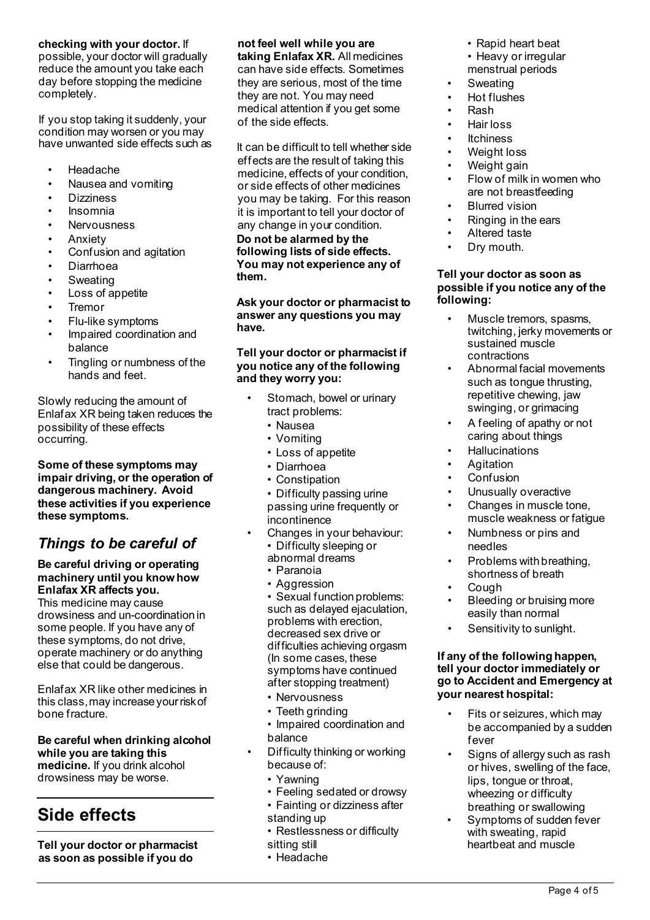### **checking with your doctor.** If

possible, your doctor will gradually reduce the amount you take each day before stopping the medicine completely.

If you stop taking it suddenly, your condition may worsen or you may have unwanted side effects such as

- Headache
- Nausea and vomiting
- **Dizziness**
- Insomnia
- **Nervousness**
- **Anxiety**
- Confusion and agitation
- Diarrhoea
- **Sweating**
- Loss of appetite
- Tremor
- Flu-like symptoms
- Impaired coordination and balance
- Tingling or numbness of the hands and feet.

Slowly reducing the amount of Enlafax XR being taken reduces the possibility of these effects occurring.

**Some of these symptoms may impair driving, or the operation of dangerous machinery. Avoid these activities if you experience these symptoms.** 

## *Things to be careful of*

#### **Be careful driving or operating machinery until you know how Enlafax XR affects you.**

This medicine may cause drowsiness and un-coordination in some people. If you have any of these symptoms, do not drive, operate machinery or do anything else that could be dangerous.

Enlafax XR like other medicines in this class, may increase your risk of bone fracture.

**Be careful when drinking alcohol while you are taking this medicine.** If you drink alcohol drowsiness may be worse.

# **Side effects**

**Tell your doctor or pharmacist as soon as possible if you do** 

### **not feel well while you are**

**taking Enlafax XR.** All medicines can have side effects. Sometimes they are serious, most of the time they are not. You may need medical attention if you get some of the side effects.

It can be difficult to tell whether side effects are the result of taking this medicine, effects of your condition, or side effects of other medicines you may be taking. For this reason it is important to tell your doctor of any change in your condition. **Do not be alarmed by the following lists of side effects. You may not experience any of them.** 

**Ask your doctor or pharmacist to answer any questions you may have.** 

#### **Tell your doctor or pharmacist if you notice any of the following and they worry you:**

- Stomach, bowel or urinary tract problems:
	- Nausea
	- Vomiting
	- Loss of appetite
	- Diarrhoea
	- Constipation
	- Difficulty passing urine passing urine frequently or incontinence
- Changes in your behaviour: • Difficulty sleeping or abnormal dreams • Paranoia
	- Aggression
	- Sexual function problems: such as delayed ejaculation, problems with erection, decreased sex drive or difficulties achieving orgasm (In some cases, these symptoms have continued after stopping treatment)
	- Nervousness
	- Teeth grinding • Impaired coordination and balance
- Difficulty thinking or working because of:
	- Yawning
	- Feeling sedated or drowsy
	- Fainting or dizziness after standing up
	- Restlessness or difficulty
	- sitting still
	- Headache
- Rapid heart beat
- Heavy or irregular
- menstrual periods
- **Sweating**
- Hot flushes
- Rash
- Hair loss
- **Itchiness**
- Weight loss
- Weight gain
- Flow of milk in women who are not breastfeeding
- **Blurred vision**
- Ringing in the ears
- Altered taste
- Dry mouth.

#### **Tell your doctor as soon as possible if you notice any of the following:**

- Muscle tremors, spasms. twitching, jerky movements or sustained muscle contractions
- Abnormal facial movements such as tongue thrusting, repetitive chewing, jaw swinging, or grimacing
- A feeling of apathy or not caring about things
- **Hallucinations**
- **Agitation**
- **Confusion** 
	- Unusually overactive
	- Changes in muscle tone, muscle weakness or fatigue
	- Numbness or pins and needles
	- Problems with breathing, shortness of breath
- Cough
- Bleeding or bruising more easily than normal
- Sensitivity to sunlight.

#### **If any of the following happen, tell your doctor immediately or go to Accident and Emergency at your nearest hospital:**

- Fits or seizures, which may be accompanied by a sudden fever
- Signs of allergy such as rash or hives, swelling of the face, lips, tongue or throat, wheezing or difficulty breathing or swallowing
- Symptoms of sudden fever with sweating, rapid heartbeat and muscle